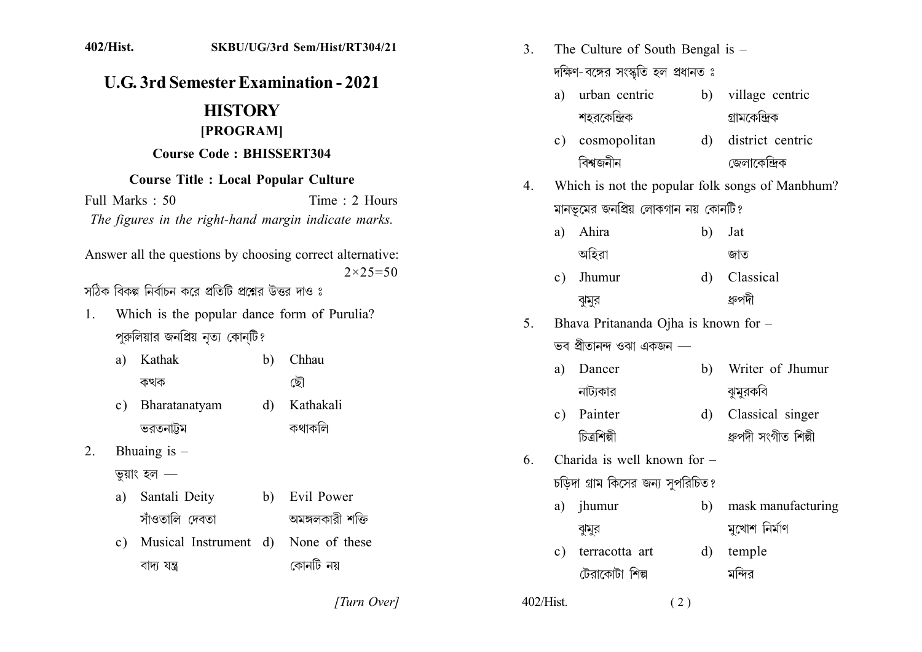| 402/Hist.                                                                                                                              |                                                         |              | SKBU/UG/3rd Sem/Hist/RT304/21     | 3.                                              | The Culture of South Bengal is $-$  |                |                  |                      |
|----------------------------------------------------------------------------------------------------------------------------------------|---------------------------------------------------------|--------------|-----------------------------------|-------------------------------------------------|-------------------------------------|----------------|------------------|----------------------|
| <b>U.G. 3rd Semester Examination - 2021</b>                                                                                            |                                                         |              |                                   | দক্ষিণ-বঙ্গের সংস্কৃতি হল প্রধানত ঃ             |                                     |                |                  |                      |
|                                                                                                                                        |                                                         |              |                                   | a)                                              | urban centric                       | b)             | village centric  |                      |
|                                                                                                                                        | <b>HISTORY</b>                                          |              |                                   |                                                 |                                     | শহরকেন্দ্রিক   |                  | গ্ৰামকেন্দ্ৰিক       |
| [PROGRAM]<br><b>Course Code: BHISSERT304</b>                                                                                           |                                                         |              |                                   | $\mathbf{c})$                                   | cosmopolitan                        | $\mathbf{d}$   | district centric |                      |
|                                                                                                                                        |                                                         |              |                                   |                                                 | বিশ্বজনীন                           |                | জেলাকেন্দ্ৰিক    |                      |
| <b>Course Title : Local Popular Culture</b><br>Full Marks: 50<br>Time: 2 Hours<br>The figures in the right-hand margin indicate marks. |                                                         |              | $4_{\cdot}$                       | Which is not the popular folk songs of Manbhum? |                                     |                |                  |                      |
|                                                                                                                                        |                                                         |              |                                   |                                                 | মানভূমের জনপ্রিয় লোকগান নয় কোনটি? |                |                  |                      |
|                                                                                                                                        |                                                         |              |                                   | a)                                              | Ahira                               | b)             | Jat              |                      |
| Answer all the questions by choosing correct alternative:<br>$2 \times 25 = 50$                                                        |                                                         |              |                                   |                                                 | অহিরা                               |                | জাত              |                      |
|                                                                                                                                        |                                                         |              |                                   | $\mathbf{c})$                                   | Jhumur                              | $\mathbf{d}$   | Classical        |                      |
|                                                                                                                                        | সঠিক বিকল্প নির্বাচন করে প্রতিটি প্রশ্নের উত্তর দাও ঃ   |              |                                   |                                                 |                                     | ঝুমুর          |                  | ধ্রুপদী              |
| Which is the popular dance form of Purulia?<br>1.<br>পুরুলিয়ার জনপ্রিয় নৃত্য কোন্টি?                                                 |                                                         |              | 5.                                | Bhava Pritananda Ojha is known for -            |                                     |                |                  |                      |
|                                                                                                                                        |                                                         |              |                                   | ভব প্ৰীতানন্দ ওঝা একজন —                        |                                     |                |                  |                      |
| a)                                                                                                                                     | Kathak                                                  | $\mathbf{b}$ | Chhau                             |                                                 | a)                                  | Dancer         | $\mathbf{b}$     | Writer of Jhumur     |
|                                                                                                                                        | কথক                                                     |              | ছৌ                                |                                                 |                                     | নাট্যকার       |                  | ঝুমুরকবি             |
| $\mathbf{c})$                                                                                                                          | Bharatanatyam                                           | $\mathbf{d}$ | Kathakali                         |                                                 | $\mathbf{c})$                       | Painter        | $\mathbf{d}$     | Classical singer     |
|                                                                                                                                        | ভরতনাট্টম                                               |              | কথাকলি                            |                                                 |                                     | চিত্ৰশিল্পী    |                  | ধ্ৰুপদী সংগীত শিল্পী |
| Bhuaing is $-$<br>2.<br>তুয়াং হল $-$                                                                                                  |                                                         |              | 6.                                | Charida is well known for -                     |                                     |                |                  |                      |
|                                                                                                                                        |                                                         |              |                                   | চড়িদা গ্রাম কিসের জন্য সুপরিচিত?               |                                     |                |                  |                      |
| a)                                                                                                                                     | Santali Deity                                           | b)           | Evil Power                        |                                                 | a)                                  | jhumur         | $\mathbf{b}$     | mask manufacturing   |
| $\mathbf{c})$                                                                                                                          | সাঁওতালি দেবতা<br>Musical Instrument d)<br>বাদ্য যন্ত্ৰ |              | অমঙ্গলকারী শক্তি<br>None of these |                                                 | $\mathbf{c})$                       | ঝুমুর          |                  | মুখোশ নিৰ্মাণ        |
|                                                                                                                                        |                                                         |              |                                   |                                                 |                                     | terracotta art | $\mathbf{d}$     | temple               |
|                                                                                                                                        |                                                         |              | কোনটি নয়                         |                                                 |                                     | টেরাকোটা শিল্প |                  | মন্দির               |
|                                                                                                                                        |                                                         |              | [Turn Over]                       | 402/Hist.                                       |                                     |                | (2)              |                      |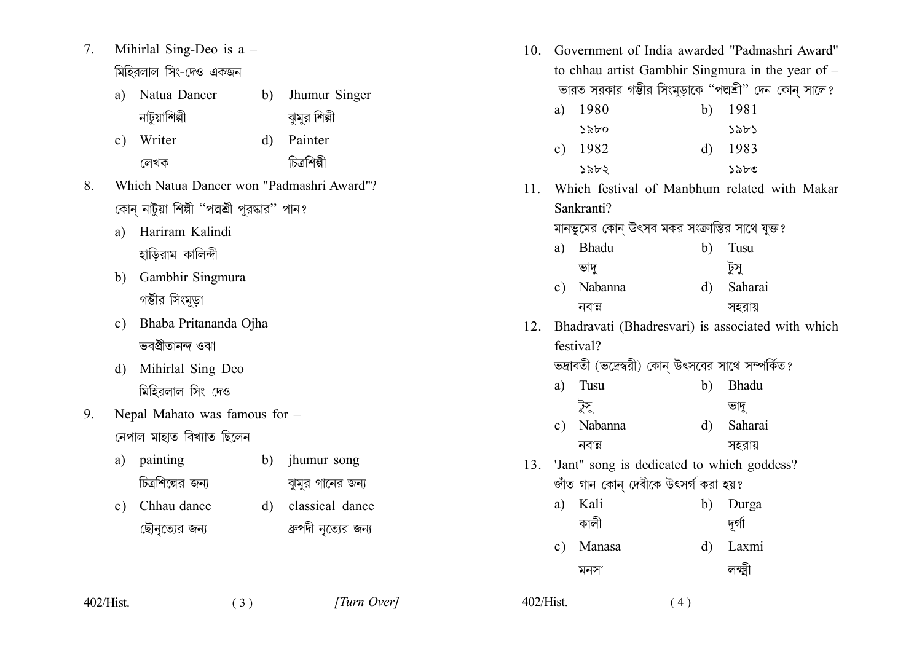Mihirlal Sing-Deo is  $a 7.$ মিহিরলাল সিং-দেও একজন

| a) Natua Dancer | b) Jhumur Singer |
|-----------------|------------------|
| নাটুয়াশিল্পী   | ঝুমুর শিল্পী     |

- c) Writer d) Painter চিত্ৰশিল্পী লেখক
- $\mathbf{8}$ Which Natua Dancer won "Padmashri Award"? কোন্ নাটুয়া শিল্পী ''পদ্মশ্রী পুরষ্কার'' পান?
	- a) Hariram Kalindi হাড়িরাম কালিন্দী
	- b) Gambhir Singmura গম্ভীর সিংমুড়া
	- c) Bhaba Pritananda Ojha ভবপ্ৰীতানন্দ ওঝা
	- d) Mihirlal Sing Deo মিহিরলাল সিং দেও
- Nepal Mahato was famous for - $9<sub>1</sub>$ নেপাল মাহাত বিখ্যাত ছিলেন
	- a) painting b) jhumur song চিত্রশিল্পের জন্য ঝুমুর গানের জন্য

 $(3)$ 

c) Chhau dance d) classical dance ছৌনৃত্যের জন্য ধ্রুপদী নৃত্যের জন্য

402/Hist.

| 10. |                                                          | Government of India awarded "Padmashri Award"         |              |            |  |  |
|-----|----------------------------------------------------------|-------------------------------------------------------|--------------|------------|--|--|
|     | to chhau artist Gambhir Singmura in the year of -        |                                                       |              |            |  |  |
|     | ভারত সরকার গম্ভীর সিংমুড়াকে ''পদ্মশ্রী'' দেন কোন্ সালে? |                                                       |              |            |  |  |
|     | a)                                                       | 1980                                                  |              | b) 1981    |  |  |
|     |                                                          | ১৯৮০                                                  |              | 58b5       |  |  |
|     |                                                          | c) $1982$                                             |              | $d)$ 1983  |  |  |
|     |                                                          | ১৯৮২                                                  |              | ১৯৮৩       |  |  |
|     |                                                          | 11. Which festival of Manbhum related with Makar      |              |            |  |  |
|     |                                                          | Sankranti?                                            |              |            |  |  |
|     |                                                          | মানভূমের কোন্ উৎসব মকর সংক্রান্তির সাথে যুক্ত?        |              |            |  |  |
|     | a)                                                       | Bhadu                                                 | b)           | Tusu       |  |  |
|     |                                                          | ভাদু                                                  |              | টুসু       |  |  |
|     | c)                                                       | Nabanna                                               | d)           | Saharai    |  |  |
|     |                                                          | নবান্ন                                                |              | সহরায়     |  |  |
|     |                                                          | 12. Bhadravati (Bhadresvari) is associated with which |              |            |  |  |
|     | festival?                                                |                                                       |              |            |  |  |
|     | ভদ্রাবতী (ভদ্রেস্বরী) কোন্ উৎসবের সাথে সম্পর্কিত?        |                                                       |              |            |  |  |
|     | a)                                                       | Tusu                                                  | b)           | Bhadu      |  |  |
|     |                                                          | টুসু                                                  |              | ভাদূ       |  |  |
|     |                                                          | c) Nabanna                                            |              | d) Saharai |  |  |
|     |                                                          | নবান্ন                                                |              | সহরায়     |  |  |
|     | 13. 'Jant" song is dedicated to which goddess?           |                                                       |              |            |  |  |
|     | জাঁত গান কোন্ দেবীকে উৎসৰ্গ করা হয়?                     |                                                       |              |            |  |  |
|     | a)                                                       | Kali                                                  |              | b) Durga   |  |  |
|     |                                                          | কালী                                                  |              | দুর্গা     |  |  |
|     |                                                          | c) Manasa                                             | $\mathbf{d}$ | Laxmi      |  |  |
|     |                                                          | মনসা                                                  |              | লক্ষ্মী    |  |  |
|     |                                                          |                                                       |              |            |  |  |

 $(4)$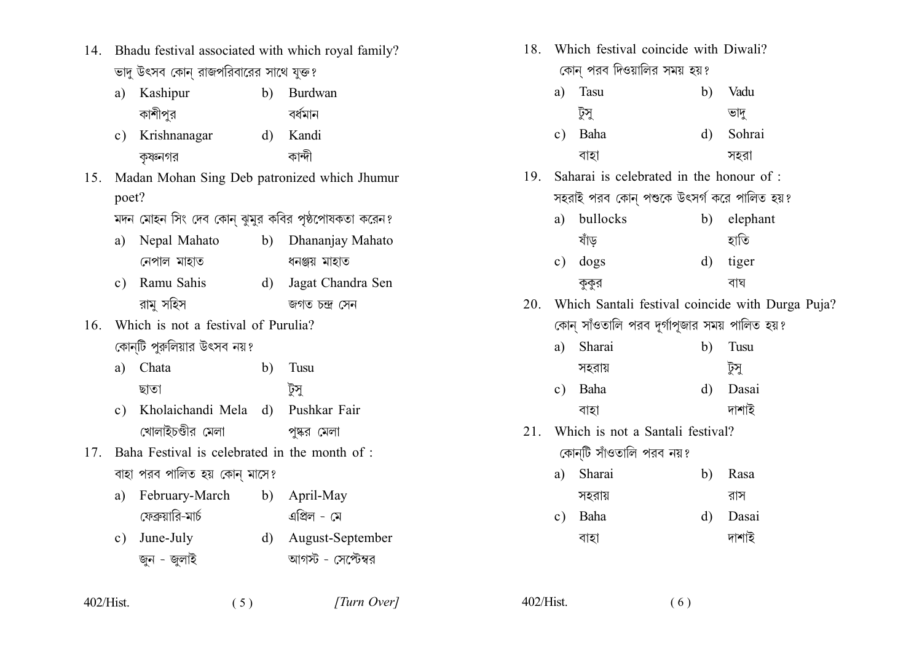- 14. Bhadu festival associated with which royal family? ভাদু উৎসব কোন রাজপরিবারের সাথে যুক্ত?
	- a) Kashipur b) Burdwan কাশীপুর বর্ধমান
	- c) Krishnanagar d) Kandi কান্দী কৃষ্ণনগর
- 15. Madan Mohan Sing Deb patronized which Jhumur poet?

মদন মোহন সিং দেব কোন ঝুমুর কবির পৃষ্ঠপোষকতা করেন?

- a) Nepal Mahato b) Dhananjay Mahato নেপাল মাহাত ধনঞ্জয় মাহাত
- c) Ramu Sahis d) Jagat Chandra Sen রামু সহিস জগত চন্দ্ৰ সেন
- 16 Which is not a festival of Purulia? কোন্টি পুরুলিয়ার উৎসব নয়?
	- Tusu a) Chata  $b)$ ছাতা টুসু
	- c) Kholaichandi Mela d) Pushkar Fair খোলাইচণ্ডীর মেলা পঙ্কর মেলা
- 17. Baha Festival is celebrated in the month of : বাহা পরব পালিত হয় কোন মাসে?
	- a) February-March b) April-May ফেব্রুয়ারি-মার্চ এপ্রিল - মে
	- c) June-July d) August-September আগস্ট - সেপ্টেম্বর জন - জলাই

 $(5)$ 

|     | 18. Which festival coincide with Diwali?<br>কোন্ পরব দিওয়ালির সময় হয়? |                                             |          |          |  |
|-----|--------------------------------------------------------------------------|---------------------------------------------|----------|----------|--|
|     | a)                                                                       | Tasu                                        | b)       | Vadu     |  |
|     |                                                                          | টুসু                                        |          | ভাদূ     |  |
|     | $\mathbf{c})$                                                            | Baha                                        | d)       | Sohrai   |  |
|     |                                                                          | বাহা                                        |          | সহরা     |  |
|     |                                                                          | 19. Saharai is celebrated in the honour of: |          |          |  |
|     |                                                                          | সহরাই পরব কোন্ পশুকে উৎসর্গ করে পালিত হয়?  |          |          |  |
|     | a)                                                                       | bullocks                                    | b)       | elephant |  |
|     |                                                                          | ষাঁড                                        |          | হাতি     |  |
|     | c)                                                                       | dogs                                        | $\rm d)$ | tiger    |  |
|     |                                                                          | কুকুর                                       |          | বাঘ      |  |
|     | 20. Which Santali festival coincide with Durga Puja?                     |                                             |          |          |  |
|     | কোন্ সাঁওতালি পরব দূর্গাপূজার সময় পালিত হয়?                            |                                             |          |          |  |
|     | a)                                                                       | Sharai                                      | b)       | Tusu     |  |
|     |                                                                          | সহরায়                                      |          | টুসু     |  |
|     | $\mathbf{c})$                                                            | Baha                                        | d)       | Dasai    |  |
|     |                                                                          | বাহা                                        |          | দাশাই    |  |
| 21. | Which is not a Santali festival?                                         |                                             |          |          |  |
|     | কোন্টি সাঁওতালি পরব নয়?                                                 |                                             |          |          |  |
|     | a)                                                                       | Sharai                                      | b)       | Rasa     |  |
|     |                                                                          | সহরায়                                      |          | রাস      |  |
|     | $\mathbf{c})$                                                            | Baha                                        | $\rm d$  | Dasai    |  |
|     |                                                                          | বাহা                                        |          | দাশাই    |  |
|     |                                                                          |                                             |          |          |  |

 $402/Hist$ .  $(6)$